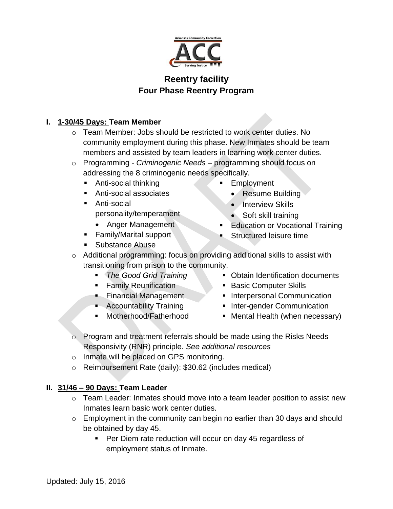

# **Reentry facility Four Phase Reentry Program**

## **I. 1-30/45 Days: Team Member**

- o Team Member: Jobs should be restricted to work center duties. No community employment during this phase. New Inmates should be team members and assisted by team leaders in learning work center duties.
- o Programming *Criminogenic Needs* programming should focus on addressing the 8 criminogenic needs specifically.
	- Anti-social thinking
	- Anti-social associates
	- **Anti-social** personality/temperament
		- Anger Management
	- **Family/Marital support**
	- **Substance Abuse**
- Employment
	- Resume Building
	- $\bullet$  Interview Skills
	- Soft skill training
- Education or Vocational Training
- Structured leisure time
- o Additional programming: focus on providing additional skills to assist with transitioning from prison to the community.
	- *The Good Grid Training*
	- **Family Reunification**
	- **Financial Management**
	- **Accountability Training**
	- Motherhood/Fatherhood
- Obtain Identification documents
- Basic Computer Skills
- **Interpersonal Communication**
- **Inter-gender Communication**
- Mental Health (when necessary)
- o Program and treatment referrals should be made using the Risks Needs Responsivity (RNR) principle. *See additional resources*
- o Inmate will be placed on GPS monitoring.
- o Reimbursement Rate (daily): \$30.62 (includes medical)

## **II. 31/46 – 90 Days: Team Leader**

- o Team Leader: Inmates should move into a team leader position to assist new Inmates learn basic work center duties.
- $\circ$  Employment in the community can begin no earlier than 30 days and should be obtained by day 45.
	- **Per Diem rate reduction will occur on day 45 regardless of** employment status of Inmate.

Updated: July 15, 2016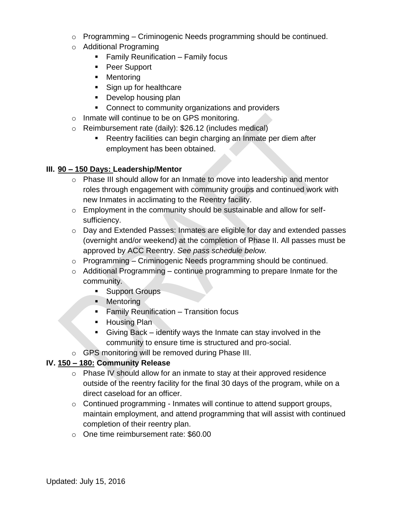- $\circ$  Programming Criminogenic Needs programming should be continued.
- o Additional Programing
	- Family Reunification Family focus
	- Peer Support
	- **Mentoring**
	- Sign up for healthcare
	- Develop housing plan
	- Connect to community organizations and providers
- o Inmate will continue to be on GPS monitoring.
- o Reimbursement rate (daily): \$26.12 (includes medical)
	- Reentry facilities can begin charging an Inmate per diem after employment has been obtained.

### **III. 90 – 150 Days: Leadership/Mentor**

- o Phase III should allow for an Inmate to move into leadership and mentor roles through engagement with community groups and continued work with new Inmates in acclimating to the Reentry facility.
- o Employment in the community should be sustainable and allow for selfsufficiency.
- o Day and Extended Passes: Inmates are eligible for day and extended passes (overnight and/or weekend) at the completion of Phase II. All passes must be approved by ACC Reentry. *See pass schedule below.*
- $\circ$  Programming Criminogenic Needs programming should be continued.
- $\circ$  Additional Programming continue programming to prepare Inmate for the community.
	- **Support Groups**
	- **Mentoring**
	- **Family Reunification Transition focus**
	- **-** Housing Plan
	- Giving Back identify ways the Inmate can stay involved in the community to ensure time is structured and pro-social.
- o GPS monitoring will be removed during Phase III.

## **IV. 150 – 180: Community Release**

- o Phase IV should allow for an inmate to stay at their approved residence outside of the reentry facility for the final 30 days of the program, while on a direct caseload for an officer.
- $\circ$  Continued programming Inmates will continue to attend support groups, maintain employment, and attend programming that will assist with continued completion of their reentry plan.
- o One time reimbursement rate: \$60.00